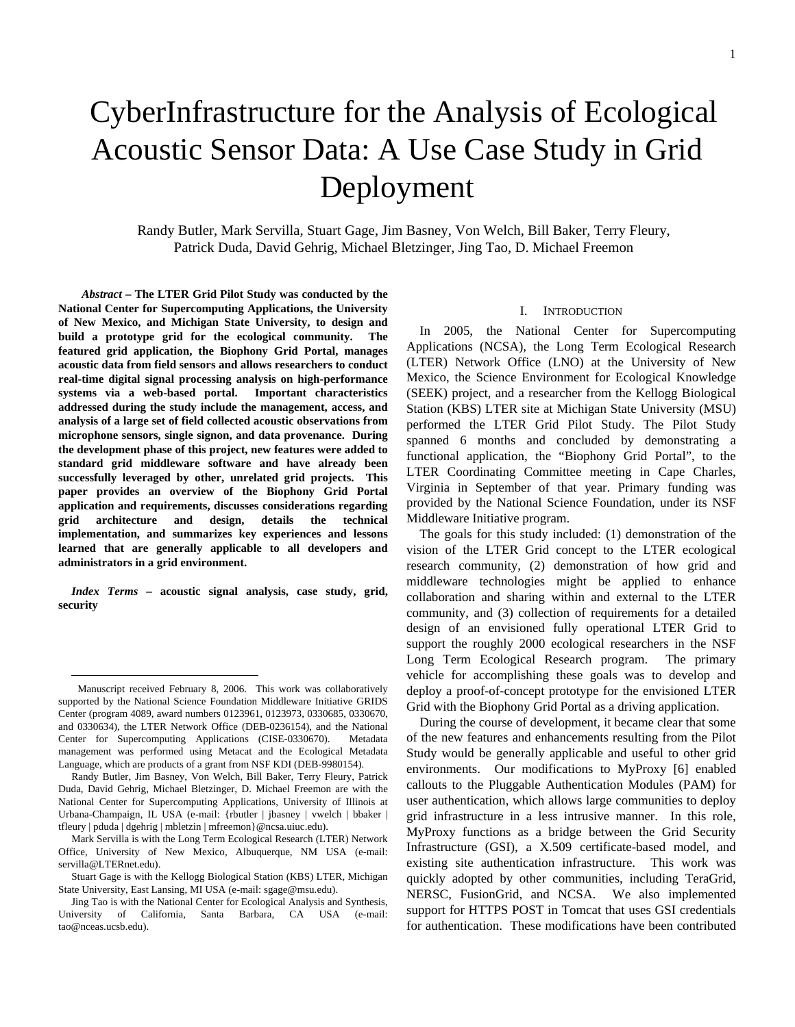# CyberInfrastructure for the Analysis of Ecological Acoustic Sensor Data: A Use Case Study in Grid Deployment

Randy Butler, Mark Servilla, Stuart Gage, Jim Basney, Von Welch, Bill Baker, Terry Fleury, Patrick Duda, David Gehrig, Michael Bletzinger, Jing Tao, D. Michael Freemon

*Abstract* **– The LTER Grid Pilot Study was conducted by the National Center for Supercomputing Applications, the University of New Mexico, and Michigan State University, to design and build a prototype grid for the ecological community. The featured grid application, the Biophony Grid Portal, manages acoustic data from field sensors and allows researchers to conduct real-time digital signal processing analysis on high-performance systems via a web-based portal. Important characteristics addressed during the study include the management, access, and analysis of a large set of field collected acoustic observations from microphone sensors, single signon, and data provenance. During the development phase of this project, new features were added to standard grid middleware software and have already been successfully leveraged by other, unrelated grid projects. This paper provides an overview of the Biophony Grid Portal application and requirements, discusses considerations regarding grid architecture and design, details the technical implementation, and summarizes key experiences and lessons learned that are generally applicable to all developers and administrators in a grid environment.** 

*Index Terms* **– acoustic signal analysis, case study, grid, security** 

1

#### I. INTRODUCTION

In 2005, the National Center for Supercomputing Applications (NCSA), the Long Term Ecological Research (LTER) Network Office (LNO) at the University of New Mexico, the Science Environment for Ecological Knowledge (SEEK) project, and a researcher from the Kellogg Biological Station (KBS) LTER site at Michigan State University (MSU) performed the LTER Grid Pilot Study. The Pilot Study spanned 6 months and concluded by demonstrating a functional application, the "Biophony Grid Portal", to the LTER Coordinating Committee meeting in Cape Charles, Virginia in September of that year. Primary funding was provided by the National Science Foundation, under its NSF Middleware Initiative program.

The goals for this study included: (1) demonstration of the vision of the LTER Grid concept to the LTER ecological research community, (2) demonstration of how grid and middleware technologies might be applied to enhance collaboration and sharing within and external to the LTER community, and (3) collection of requirements for a detailed design of an envisioned fully operational LTER Grid to support the roughly 2000 ecological researchers in the NSF Long Term Ecological Research program. The primary vehicle for accomplishing these goals was to develop and deploy a proof-of-concept prototype for the envisioned LTER Grid with the Biophony Grid Portal as a driving application.

During the course of development, it became clear that some of the new features and enhancements resulting from the Pilot Study would be generally applicable and useful to other grid environments. Our modifications to MyProxy [6] enabled callouts to the Pluggable Authentication Modules (PAM) for user authentication, which allows large communities to deploy grid infrastructure in a less intrusive manner. In this role, MyProxy functions as a bridge between the Grid Security Infrastructure (GSI), a X.509 certificate-based model, and existing site authentication infrastructure. This work was quickly adopted by other communities, including TeraGrid, NERSC, FusionGrid, and NCSA. We also implemented support for HTTPS POST in Tomcat that uses GSI credentials for authentication. These modifications have been contributed

Manuscript received February 8, 2006. This work was collaboratively supported by the National Science Foundation Middleware Initiative GRIDS Center (program 4089, award numbers 0123961, 0123973, 0330685, 0330670, and 0330634), the LTER Network Office (DEB-0236154), and the National Center for Supercomputing Applications (CISE-0330670). Metadata management was performed using Metacat and the Ecological Metadata Language, which are products of a grant from NSF KDI (DEB-9980154).

Randy Butler, Jim Basney, Von Welch, Bill Baker, Terry Fleury, Patrick Duda, David Gehrig, Michael Bletzinger, D. Michael Freemon are with the National Center for Supercomputing Applications, University of Illinois at Urbana-Champaign, IL USA (e-mail: {rbutler | jbasney | vwelch | bbaker | tfleury | pduda | dgehrig | mbletzin | mfreemon}@ncsa.uiuc.edu).

Mark Servilla is with the Long Term Ecological Research (LTER) Network Office, University of New Mexico, Albuquerque, NM USA (e-mail: servilla@LTERnet.edu).

Stuart Gage is with the Kellogg Biological Station (KBS) LTER, Michigan State University, East Lansing, MI USA (e-mail: sgage@msu.edu).

Jing Tao is with the National Center for Ecological Analysis and Synthesis, University of California, Santa Barbara, CA USA (e-mail: tao@nceas.ucsb.edu).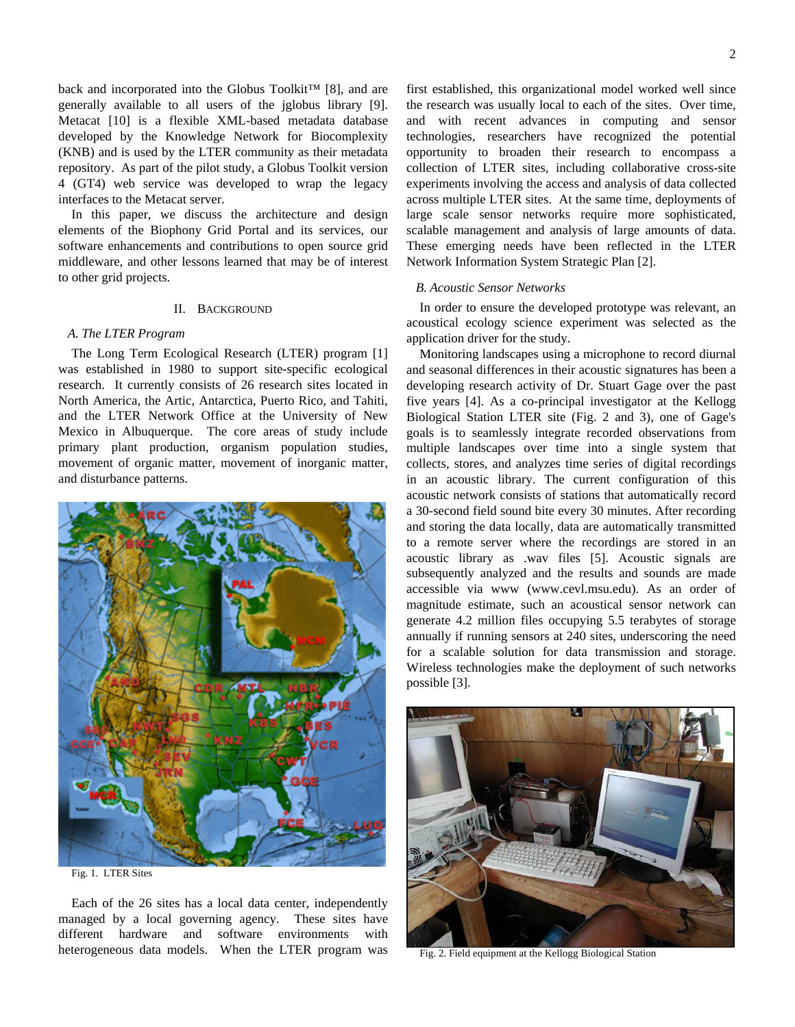back and incorporated into the Globus Toolkit™ [8], and are generally available to all users of the jglobus library [9]. Metacat [10] is a flexible XML-based metadata database developed by the Knowledge Network for Biocomplexity (KNB) and is used by the LTER community as their metadata repository. As part of the pilot study, a Globus Toolkit version 4 (GT4) web service was developed to wrap the legacy interfaces to the Metacat server.

In this paper, we discuss the architecture and design elements of the Biophony Grid Portal and its services, our software enhancements and contributions to open source grid middleware, and other lessons learned that may be of interest to other grid projects.

### II. BACKGROUND

## *A. The LTER Program*

The Long Term Ecological Research (LTER) program [1] was established in 1980 to support site-specific ecological research. It currently consists of 26 research sites located in North America, the Artic, Antarctica, Puerto Rico, and Tahiti, and the LTER Network Office at the University of New Mexico in Albuquerque. The core areas of study include primary plant production, organism population studies, movement of organic matter, movement of inorganic matter, and disturbance patterns.



Fig. 1. LTER Sites

Each of the 26 sites has a local data center, independently managed by a local governing agency. These sites have different hardware and software environments with heterogeneous data models. When the LTER program was first established, this organizational model worked well since the research was usually local to each of the sites. Over time, and with recent advances in computing and sensor technologies, researchers have recognized the potential opportunity to broaden their research to encompass a collection of LTER sites, including collaborative cross-site experiments involving the access and analysis of data collected across multiple LTER sites. At the same time, deployments of large scale sensor networks require more sophisticated, scalable management and analysis of large amounts of data. These emerging needs have been reflected in the LTER Network Information System Strategic Plan [2].

# *B. Acoustic Sensor Networks*

In order to ensure the developed prototype was relevant, an acoustical ecology science experiment was selected as the application driver for the study.

Monitoring landscapes using a microphone to record diurnal and seasonal differences in their acoustic signatures has been a developing research activity of Dr. Stuart Gage over the past five years [4]. As a co-principal investigator at the Kellogg Biological Station LTER site (Fig. 2 and 3), one of Gage's goals is to seamlessly integrate recorded observations from multiple landscapes over time into a single system that collects, stores, and analyzes time series of digital recordings in an acoustic library. The current configuration of this acoustic network consists of stations that automatically record a 30-second field sound bite every 30 minutes. After recording and storing the data locally, data are automatically transmitted to a remote server where the recordings are stored in an acoustic library as .wav files [5]. Acoustic signals are subsequently analyzed and the results and sounds are made accessible via www (www.cevl.msu.edu). As an order of magnitude estimate, such an acoustical sensor network can generate 4.2 million files occupying 5.5 terabytes of storage annually if running sensors at 240 sites, underscoring the need for a scalable solution for data transmission and storage. Wireless technologies make the deployment of such networks possible [3].



Fig. 2. Field equipment at the Kellogg Biological Station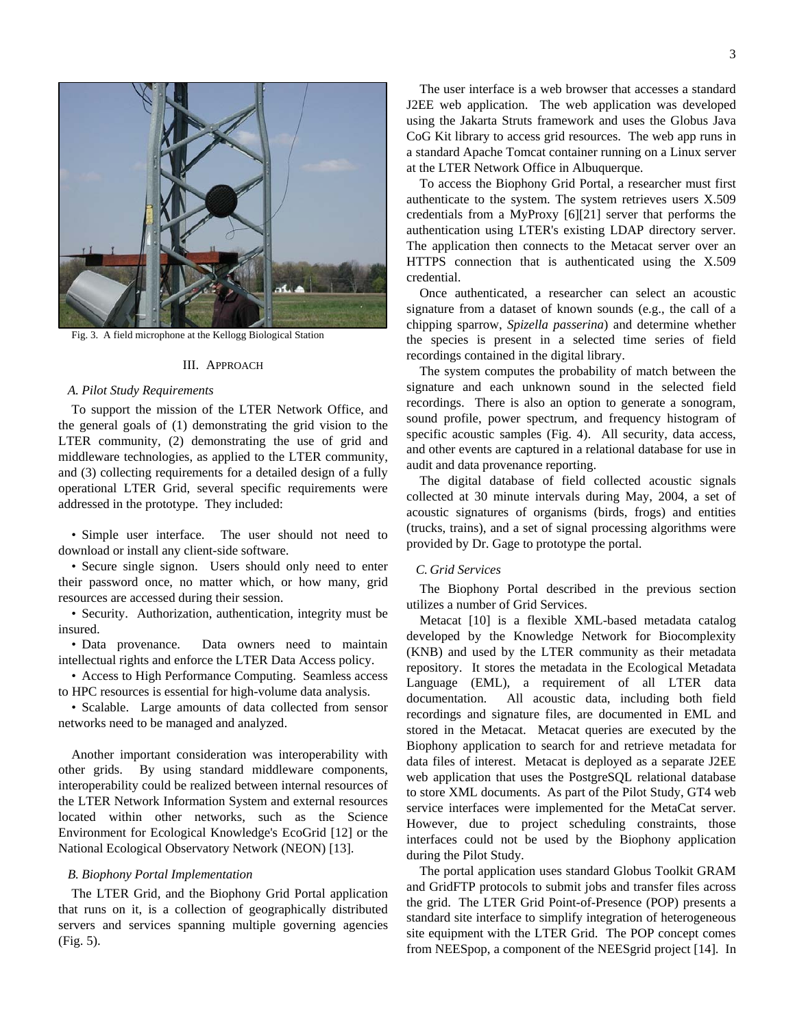



Fig. 3. A field microphone at the Kellogg Biological Station

#### III. APPROACH

### *A. Pilot Study Requirements*

To support the mission of the LTER Network Office, and the general goals of (1) demonstrating the grid vision to the LTER community, (2) demonstrating the use of grid and middleware technologies, as applied to the LTER community, and (3) collecting requirements for a detailed design of a fully operational LTER Grid, several specific requirements were addressed in the prototype. They included:

• Simple user interface. The user should not need to download or install any client-side software.

• Secure single signon. Users should only need to enter their password once, no matter which, or how many, grid resources are accessed during their session.

• Security. Authorization, authentication, integrity must be insured.

• Data provenance. Data owners need to maintain intellectual rights and enforce the LTER Data Access policy.

• Access to High Performance Computing. Seamless access to HPC resources is essential for high-volume data analysis.

• Scalable. Large amounts of data collected from sensor networks need to be managed and analyzed.

Another important consideration was interoperability with other grids. By using standard middleware components, interoperability could be realized between internal resources of the LTER Network Information System and external resources located within other networks, such as the Science Environment for Ecological Knowledge's EcoGrid [12] or the National Ecological Observatory Network (NEON) [13].

# *B. Biophony Portal Implementation*

The LTER Grid, and the Biophony Grid Portal application that runs on it, is a collection of geographically distributed servers and services spanning multiple governing agencies (Fig. 5).

The user interface is a web browser that accesses a standard J2EE web application. The web application was developed using the Jakarta Struts framework and uses the Globus Java CoG Kit library to access grid resources. The web app runs in a standard Apache Tomcat container running on a Linux server at the LTER Network Office in Albuquerque.

To access the Biophony Grid Portal, a researcher must first authenticate to the system. The system retrieves users X.509 credentials from a MyProxy [6][21] server that performs the authentication using LTER's existing LDAP directory server. The application then connects to the Metacat server over an HTTPS connection that is authenticated using the X.509 credential.

Once authenticated, a researcher can select an acoustic signature from a dataset of known sounds (e.g., the call of a chipping sparrow, *Spizella passerina*) and determine whether the species is present in a selected time series of field recordings contained in the digital library.

The system computes the probability of match between the signature and each unknown sound in the selected field recordings. There is also an option to generate a sonogram, sound profile, power spectrum, and frequency histogram of specific acoustic samples (Fig. 4). All security, data access, and other events are captured in a relational database for use in audit and data provenance reporting.

The digital database of field collected acoustic signals collected at 30 minute intervals during May, 2004, a set of acoustic signatures of organisms (birds, frogs) and entities (trucks, trains), and a set of signal processing algorithms were provided by Dr. Gage to prototype the portal.

# *C. Grid Services*

The Biophony Portal described in the previous section utilizes a number of Grid Services.

Metacat [10] is a flexible XML-based metadata catalog developed by the Knowledge Network for Biocomplexity (KNB) and used by the LTER community as their metadata repository. It stores the metadata in the Ecological Metadata Language (EML), a requirement of all LTER data documentation. All acoustic data, including both field recordings and signature files, are documented in EML and stored in the Metacat. Metacat queries are executed by the Biophony application to search for and retrieve metadata for data files of interest. Metacat is deployed as a separate J2EE web application that uses the PostgreSQL relational database to store XML documents. As part of the Pilot Study, GT4 web service interfaces were implemented for the MetaCat server. However, due to project scheduling constraints, those interfaces could not be used by the Biophony application during the Pilot Study.

The portal application uses standard Globus Toolkit GRAM and GridFTP protocols to submit jobs and transfer files across the grid. The LTER Grid Point-of-Presence (POP) presents a standard site interface to simplify integration of heterogeneous site equipment with the LTER Grid. The POP concept comes from NEESpop, a component of the NEESgrid project [14]. In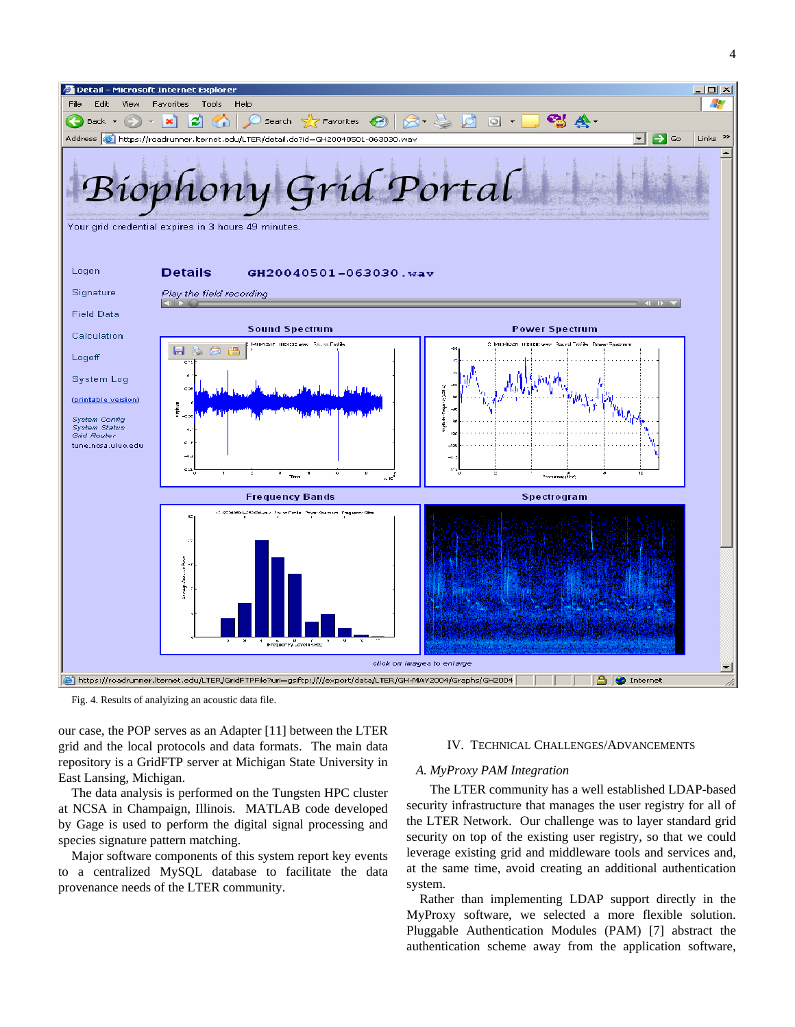

Fig. 4. Results of analyizing an acoustic data file.

our case, the POP serves as an Adapter [11] between the LTER grid and the local protocols and data formats. The main data repository is a GridFTP server at Michigan State University in East Lansing, Michigan.

The data analysis is performed on the Tungsten HPC cluster at NCSA in Champaign, Illinois. MATLAB code developed by Gage is used to perform the digital signal processing and species signature pattern matching.

Major software components of this system report key events to a centralized MySQL database to facilitate the data provenance needs of the LTER community.

# IV. TECHNICAL CHALLENGES/ADVANCEMENTS

# *A. MyProxy PAM Integration*

 The LTER community has a well established LDAP-based security infrastructure that manages the user registry for all of the LTER Network. Our challenge was to layer standard grid security on top of the existing user registry, so that we could leverage existing grid and middleware tools and services and, at the same time, avoid creating an additional authentication system.

Rather than implementing LDAP support directly in the MyProxy software, we selected a more flexible solution. Pluggable Authentication Modules (PAM) [7] abstract the authentication scheme away from the application software,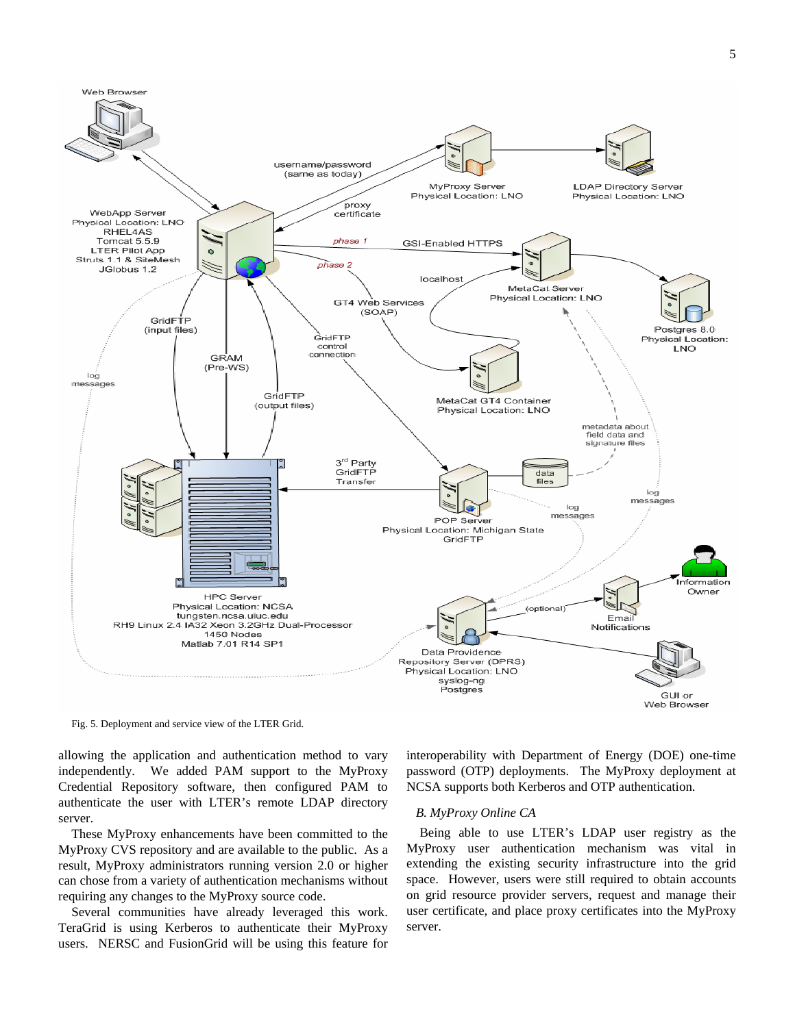

Fig. 5. Deployment and service view of the LTER Grid.

allowing the application and authentication method to vary independently. We added PAM support to the MyProxy Credential Repository software, then configured PAM to authenticate the user with LTER's remote LDAP directory server.

These MyProxy enhancements have been committed to the MyProxy CVS repository and are available to the public. As a result, MyProxy administrators running version 2.0 or higher can chose from a variety of authentication mechanisms without requiring any changes to the MyProxy source code.

Several communities have already leveraged this work. TeraGrid is using Kerberos to authenticate their MyProxy users. NERSC and FusionGrid will be using this feature for interoperability with Department of Energy (DOE) one-time password (OTP) deployments. The MyProxy deployment at NCSA supports both Kerberos and OTP authentication.

# *B. MyProxy Online CA*

Being able to use LTER's LDAP user registry as the MyProxy user authentication mechanism was vital in extending the existing security infrastructure into the grid space. However, users were still required to obtain accounts on grid resource provider servers, request and manage their user certificate, and place proxy certificates into the MyProxy server.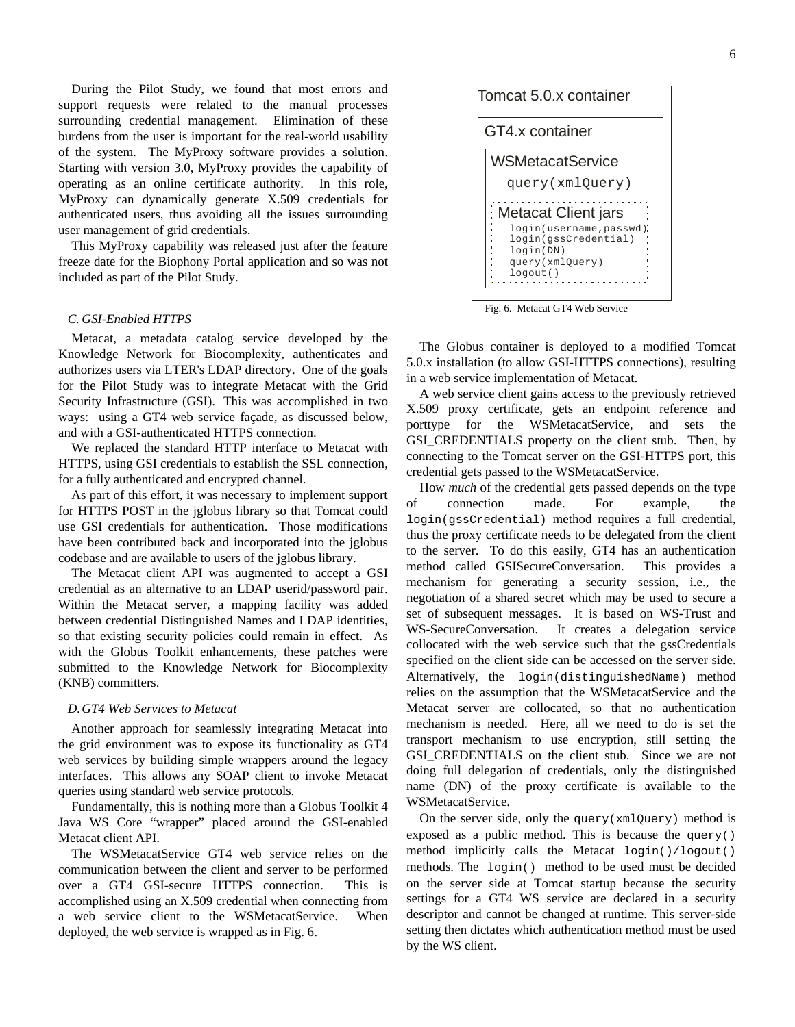During the Pilot Study, we found that most errors and support requests were related to the manual processes surrounding credential management. Elimination of these burdens from the user is important for the real-world usability of the system. The MyProxy software provides a solution. Starting with version 3.0, MyProxy provides the capability of operating as an online certificate authority. In this role, MyProxy can dynamically generate X.509 credentials for authenticated users, thus avoiding all the issues surrounding user management of grid credentials.

This MyProxy capability was released just after the feature freeze date for the Biophony Portal application and so was not included as part of the Pilot Study.

# *C. GSI-Enabled HTTPS*

Metacat, a metadata catalog service developed by the Knowledge Network for Biocomplexity, authenticates and authorizes users via LTER's LDAP directory. One of the goals for the Pilot Study was to integrate Metacat with the Grid Security Infrastructure (GSI). This was accomplished in two ways: using a GT4 web service façade, as discussed below, and with a GSI-authenticated HTTPS connection.

We replaced the standard HTTP interface to Metacat with HTTPS, using GSI credentials to establish the SSL connection, for a fully authenticated and encrypted channel.

As part of this effort, it was necessary to implement support for HTTPS POST in the jglobus library so that Tomcat could use GSI credentials for authentication. Those modifications have been contributed back and incorporated into the jglobus codebase and are available to users of the jglobus library.

The Metacat client API was augmented to accept a GSI credential as an alternative to an LDAP userid/password pair. Within the Metacat server, a mapping facility was added between credential Distinguished Names and LDAP identities, so that existing security policies could remain in effect. As with the Globus Toolkit enhancements, these patches were submitted to the Knowledge Network for Biocomplexity (KNB) committers.

## *D.GT4 Web Services to Metacat*

Another approach for seamlessly integrating Metacat into the grid environment was to expose its functionality as GT4 web services by building simple wrappers around the legacy interfaces. This allows any SOAP client to invoke Metacat queries using standard web service protocols.

Fundamentally, this is nothing more than a Globus Toolkit 4 Java WS Core "wrapper" placed around the GSI-enabled Metacat client API.

The WSMetacatService GT4 web service relies on the communication between the client and server to be performed over a GT4 GSI-secure HTTPS connection. This is accomplished using an X.509 credential when connecting from a web service client to the WSMetacatService. When deployed, the web service is wrapped as in Fig. 6.



Fig. 6. Metacat GT4 Web Service

The Globus container is deployed to a modified Tomcat 5.0.x installation (to allow GSI-HTTPS connections), resulting in a web service implementation of Metacat.

A web service client gains access to the previously retrieved X.509 proxy certificate, gets an endpoint reference and porttype for the WSMetacatService, and sets the GSI\_CREDENTIALS property on the client stub. Then, by connecting to the Tomcat server on the GSI-HTTPS port, this credential gets passed to the WSMetacatService.

How *much* of the credential gets passed depends on the type of connection made. For example, the login(gssCredential) method requires a full credential, thus the proxy certificate needs to be delegated from the client to the server. To do this easily, GT4 has an authentication method called GSISecureConversation. This provides a mechanism for generating a security session, i.e., the negotiation of a shared secret which may be used to secure a set of subsequent messages. It is based on WS-Trust and WS-SecureConversation. It creates a delegation service collocated with the web service such that the gssCredentials specified on the client side can be accessed on the server side. Alternatively, the login(distinguishedName) method relies on the assumption that the WSMetacatService and the Metacat server are collocated, so that no authentication mechanism is needed. Here, all we need to do is set the transport mechanism to use encryption, still setting the GSI\_CREDENTIALS on the client stub. Since we are not doing full delegation of credentials, only the distinguished name (DN) of the proxy certificate is available to the WSMetacatService.

On the server side, only the query(xmlQuery) method is exposed as a public method. This is because the query() method implicitly calls the Metacat login()/logout() methods. The login() method to be used must be decided on the server side at Tomcat startup because the security settings for a GT4 WS service are declared in a security descriptor and cannot be changed at runtime. This server-side setting then dictates which authentication method must be used by the WS client.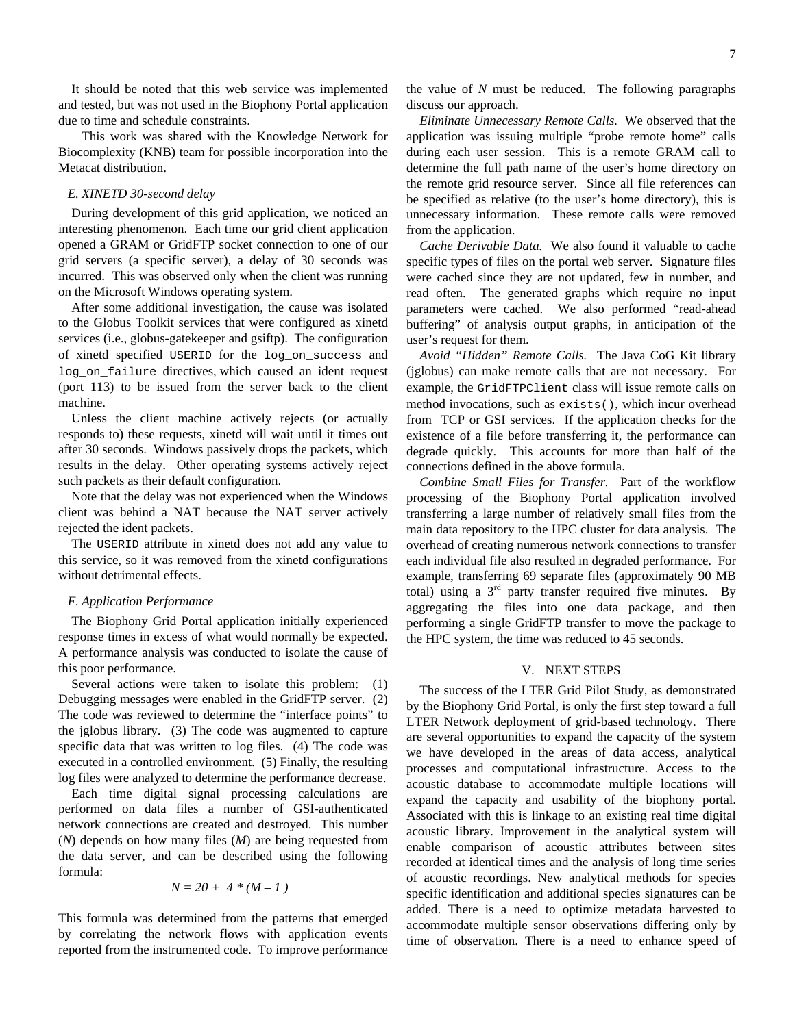It should be noted that this web service was implemented and tested, but was not used in the Biophony Portal application due to time and schedule constraints.

 This work was shared with the Knowledge Network for Biocomplexity (KNB) team for possible incorporation into the Metacat distribution.

#### *E. XINETD 30-second delay*

During development of this grid application, we noticed an interesting phenomenon. Each time our grid client application opened a GRAM or GridFTP socket connection to one of our grid servers (a specific server), a delay of 30 seconds was incurred. This was observed only when the client was running on the Microsoft Windows operating system.

After some additional investigation, the cause was isolated to the Globus Toolkit services that were configured as xinetd services (i.e., globus-gatekeeper and gsiftp). The configuration of xinetd specified USERID for the log\_on\_success and log\_on\_failure directives, which caused an ident request (port 113) to be issued from the server back to the client machine.

Unless the client machine actively rejects (or actually responds to) these requests, xinetd will wait until it times out after 30 seconds. Windows passively drops the packets, which results in the delay. Other operating systems actively reject such packets as their default configuration.

Note that the delay was not experienced when the Windows client was behind a NAT because the NAT server actively rejected the ident packets.

The USERID attribute in xinetd does not add any value to this service, so it was removed from the xinetd configurations without detrimental effects.

#### *F. Application Performance*

The Biophony Grid Portal application initially experienced response times in excess of what would normally be expected. A performance analysis was conducted to isolate the cause of this poor performance.

Several actions were taken to isolate this problem: (1) Debugging messages were enabled in the GridFTP server. (2) The code was reviewed to determine the "interface points" to the jglobus library. (3) The code was augmented to capture specific data that was written to log files. (4) The code was executed in a controlled environment. (5) Finally, the resulting log files were analyzed to determine the performance decrease.

Each time digital signal processing calculations are performed on data files a number of GSI-authenticated network connections are created and destroyed. This number (*N*) depends on how many files (*M*) are being requested from the data server, and can be described using the following formula:

$$
N = 20 + 4 * (M - 1)
$$

This formula was determined from the patterns that emerged by correlating the network flows with application events reported from the instrumented code. To improve performance the value of *N* must be reduced. The following paragraphs discuss our approach.

*Eliminate Unnecessary Remote Calls.*We observed that the application was issuing multiple "probe remote home" calls during each user session. This is a remote GRAM call to determine the full path name of the user's home directory on the remote grid resource server. Since all file references can be specified as relative (to the user's home directory), this is unnecessary information. These remote calls were removed from the application.

*Cache Derivable Data.* We also found it valuable to cache specific types of files on the portal web server. Signature files were cached since they are not updated, few in number, and read often. The generated graphs which require no input parameters were cached. We also performed "read-ahead buffering" of analysis output graphs, in anticipation of the user's request for them.

*Avoid "Hidden" Remote Calls.* The Java CoG Kit library (jglobus) can make remote calls that are not necessary. For example, the GridFTPClient class will issue remote calls on method invocations, such as exists(), which incur overhead from TCP or GSI services. If the application checks for the existence of a file before transferring it, the performance can degrade quickly. This accounts for more than half of the connections defined in the above formula.

*Combine Small Files for Transfer.* Part of the workflow processing of the Biophony Portal application involved transferring a large number of relatively small files from the main data repository to the HPC cluster for data analysis. The overhead of creating numerous network connections to transfer each individual file also resulted in degraded performance. For example, transferring 69 separate files (approximately 90 MB total) using a  $3<sup>rd</sup>$  party transfer required five minutes. By aggregating the files into one data package, and then performing a single GridFTP transfer to move the package to the HPC system, the time was reduced to 45 seconds.

# V. NEXT STEPS

The success of the LTER Grid Pilot Study, as demonstrated by the Biophony Grid Portal, is only the first step toward a full LTER Network deployment of grid-based technology. There are several opportunities to expand the capacity of the system we have developed in the areas of data access, analytical processes and computational infrastructure. Access to the acoustic database to accommodate multiple locations will expand the capacity and usability of the biophony portal. Associated with this is linkage to an existing real time digital acoustic library. Improvement in the analytical system will enable comparison of acoustic attributes between sites recorded at identical times and the analysis of long time series of acoustic recordings. New analytical methods for species specific identification and additional species signatures can be added. There is a need to optimize metadata harvested to accommodate multiple sensor observations differing only by time of observation. There is a need to enhance speed of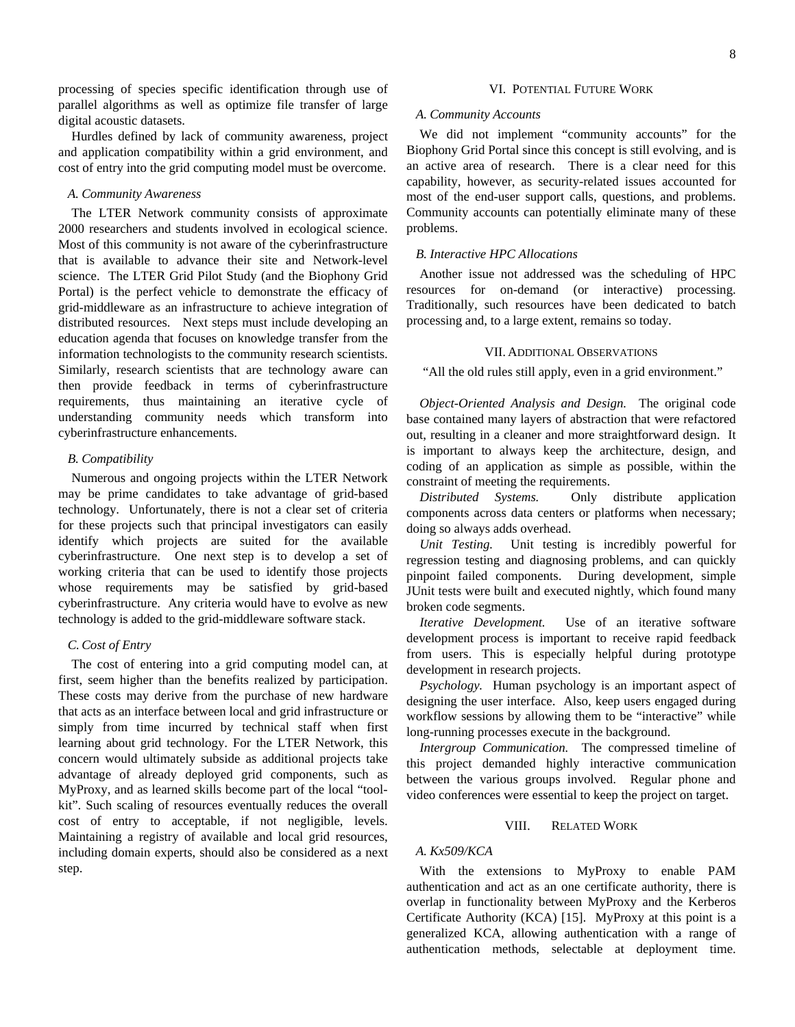processing of species specific identification through use of parallel algorithms as well as optimize file transfer of large digital acoustic datasets.

Hurdles defined by lack of community awareness, project and application compatibility within a grid environment, and cost of entry into the grid computing model must be overcome.

#### *A. Community Awareness*

The LTER Network community consists of approximate 2000 researchers and students involved in ecological science. Most of this community is not aware of the cyberinfrastructure that is available to advance their site and Network-level science. The LTER Grid Pilot Study (and the Biophony Grid Portal) is the perfect vehicle to demonstrate the efficacy of grid-middleware as an infrastructure to achieve integration of distributed resources. Next steps must include developing an education agenda that focuses on knowledge transfer from the information technologists to the community research scientists. Similarly, research scientists that are technology aware can then provide feedback in terms of cyberinfrastructure requirements, thus maintaining an iterative cycle of understanding community needs which transform into cyberinfrastructure enhancements.

# *B. Compatibility*

Numerous and ongoing projects within the LTER Network may be prime candidates to take advantage of grid-based technology. Unfortunately, there is not a clear set of criteria for these projects such that principal investigators can easily identify which projects are suited for the available cyberinfrastructure. One next step is to develop a set of working criteria that can be used to identify those projects whose requirements may be satisfied by grid-based cyberinfrastructure. Any criteria would have to evolve as new technology is added to the grid-middleware software stack.

# *C.Cost of Entry*

The cost of entering into a grid computing model can, at first, seem higher than the benefits realized by participation. These costs may derive from the purchase of new hardware that acts as an interface between local and grid infrastructure or simply from time incurred by technical staff when first learning about grid technology. For the LTER Network, this concern would ultimately subside as additional projects take advantage of already deployed grid components, such as MyProxy, and as learned skills become part of the local "toolkit". Such scaling of resources eventually reduces the overall cost of entry to acceptable, if not negligible, levels. Maintaining a registry of available and local grid resources, including domain experts, should also be considered as a next step.

# VI. POTENTIAL FUTURE WORK

# *A. Community Accounts*

We did not implement "community accounts" for the Biophony Grid Portal since this concept is still evolving, and is an active area of research. There is a clear need for this capability, however, as security-related issues accounted for most of the end-user support calls, questions, and problems. Community accounts can potentially eliminate many of these problems.

## *B. Interactive HPC Allocations*

Another issue not addressed was the scheduling of HPC resources for on-demand (or interactive) processing. Traditionally, such resources have been dedicated to batch processing and, to a large extent, remains so today.

# VII. ADDITIONAL OBSERVATIONS

"All the old rules still apply, even in a grid environment."

*Object-Oriented Analysis and Design.* The original code base contained many layers of abstraction that were refactored out, resulting in a cleaner and more straightforward design. It is important to always keep the architecture, design, and coding of an application as simple as possible, within the constraint of meeting the requirements.

*Distributed Systems.* Only distribute application components across data centers or platforms when necessary; doing so always adds overhead.

*Unit Testing.* Unit testing is incredibly powerful for regression testing and diagnosing problems, and can quickly pinpoint failed components. During development, simple JUnit tests were built and executed nightly, which found many broken code segments.

*Iterative Development.* Use of an iterative software development process is important to receive rapid feedback from users. This is especially helpful during prototype development in research projects.

*Psychology.* Human psychology is an important aspect of designing the user interface. Also, keep users engaged during workflow sessions by allowing them to be "interactive" while long-running processes execute in the background.

*Intergroup Communication.* The compressed timeline of this project demanded highly interactive communication between the various groups involved. Regular phone and video conferences were essential to keep the project on target.

# VIII. RELATED WORK

# *A. Kx509/KCA*

With the extensions to MyProxy to enable PAM authentication and act as an one certificate authority, there is overlap in functionality between MyProxy and the Kerberos Certificate Authority (KCA) [15]. MyProxy at this point is a generalized KCA, allowing authentication with a range of authentication methods, selectable at deployment time.